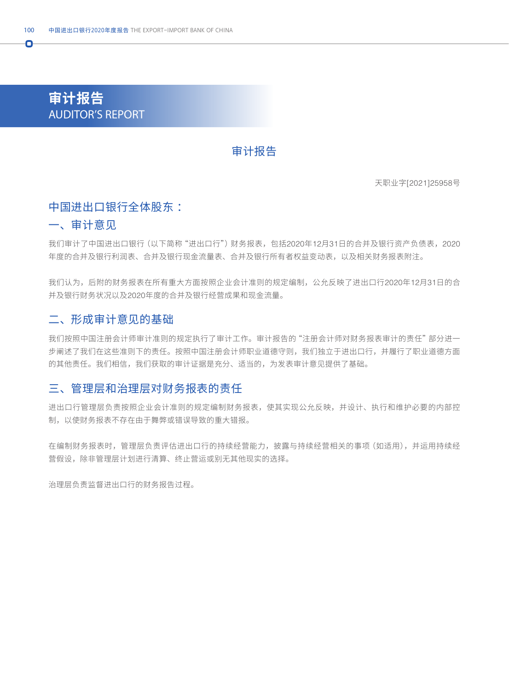# **审计报告** AUDITOR'S REPORT

Ō

审计报告

天职业字[2021]25958号

## 中国进出口银行全体股东 :

#### 一、审计意见

我们审计了中国进出口银行(以下简称"进出口行")财务报表,包括2020年12月31日的合并及银行资产负债表,2020 年度的合并及银行利润表、合并及银行现金流量表、合并及银行所有者权益变动表,以及相关财务报表附注。

我们认为,后附的财务报表在所有重大方面按照企业会计准则的规定编制,公允反映了进出口行2020年12月31日的合 并及银行财务状况以及2020年度的合并及银行经营成果和现金流量。

# 二、形成审计意见的基础

我们按照中国注册会计师审计准则的规定执行了审计工作。审计报告的"注册会计师对财务报表审计的责任"部分进一 步阐述了我们在这些准则下的责任。按照中国注册会计师职业道德守则,我们独立于进出口行,并履行了职业道德方面 的其他责任。我们相信,我们获取的审计证据是充分、适当的,为发表审计意见提供了基础。

#### 三、管理层和治理层对财务报表的责任

进出口行管理层负责按照企业会计准则的规定编制财务报表,使其实现公允反映,并设计、执行和维护必要的内部控 制,以使财务报表不存在由于舞弊或错误导致的重大错报。

在编制财务报表时,管理层负责评估进出口行的持续经营能力,披露与持续经营相关的事项(如适用),并运用持续经 营假设,除非管理层计划进行清算、终止营运或别无其他现实的选择。

治理层负责监督进出口行的财务报告过程。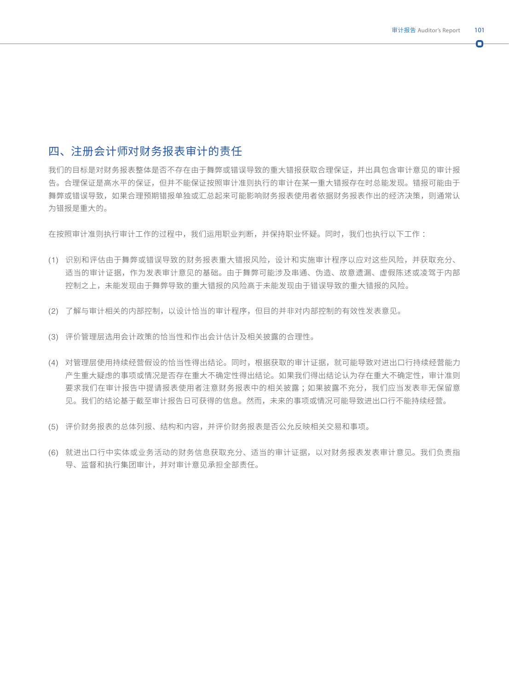o

# 四、注册会计师对财务报表审计的责任

我们的目标是对财务报表整体是否不存在由于舞弊或错误导致的重大错报获取合理保证,并出具包含审计意见的审计报 告。合理保证是高水平的保证,但并不能保证按照审计准则执行的审计在某一重大错报存在时总能发现。错报可能由于 舞弊或错误导致,如果合理预期错报单独或汇总起来可能影响财务报表使用者依据财务报表作出的经济决策,则通常认 为错报是重大的。

在按照审计准则执行审计工作的过程中,我们运用职业判断,并保持职业怀疑。同时,我们也执行以下工作:

- (1) 识别和评估由于舞弊或错误导致的财务报表重大错报风险,设计和实施审计程序以应对这些风险,并获取充分、 适当的审计证据,作为发表审计意见的基础。由于舞弊可能涉及串通、伪造、故意遗漏、虚假陈述或凌驾于内部 控制之上,未能发现由于舞弊导致的重大错报的风险高于未能发现由于错误导致的重大错报的风险。
- (2) 了解与审计相关的内部控制,以设计恰当的审计程序,但目的并非对内部控制的有效性发表意见。
- (3) 评价管理层选用会计政策的恰当性和作出会计估计及相关披露的合理性。
- (4) 对管理层使用持续经营假设的恰当性得出结论。同时,根据获取的审计证据,就可能导致对进出口行持续经营能力 产生重大疑虑的事项或情况是否存在重大不确定性得出结论。如果我们得出结论认为存在重大不确定性,审计准则 要求我们在审计报告中提请报表使用者注意财务报表中的相关披露 ;如果披露不充分,我们应当发表非无保留意 见。我们的结论基于截至审计报告日可获得的信息。然而,未来的事项或情况可能导致进出口行不能持续经营。
- (5) 评价财务报表的总体列报、结构和内容,并评价财务报表是否公允反映相关交易和事项。
- (6) 就进出口行中实体或业务活动的财务信息获取充分、适当的审计证据,以对财务报表发表审计意见。我们负责指 导、监督和执行集团审计,并对审计意见承担全部责任。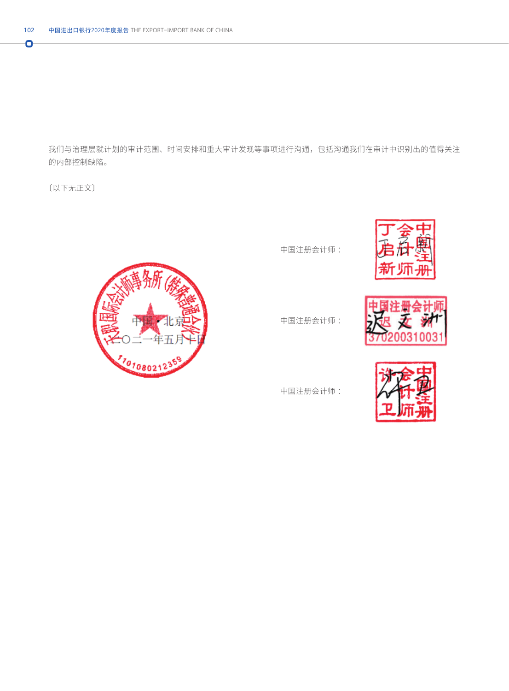我们与治理层就计划的审计范围、时间安排和重大审计发现等事项进行沟通,包括沟通我们在审计中识别出的值得关注 的内部控制缺陷。

〔以下无正文〕

Ō

中国注册会计师 :





中国注册会计师 :



中国注册会计师 :

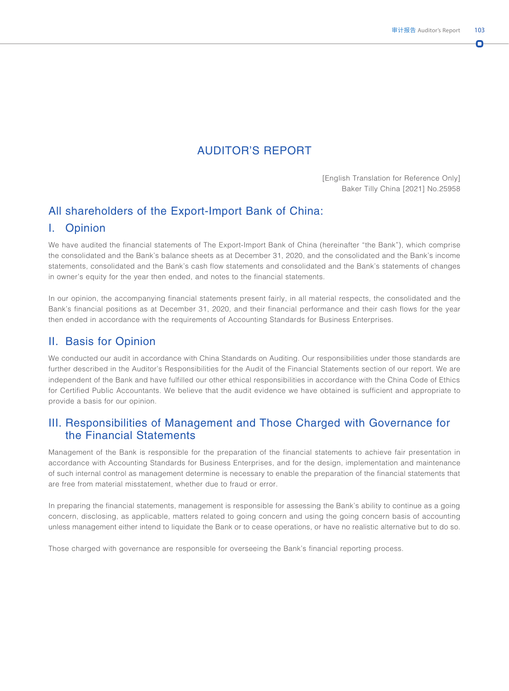n

# AUDITOR'S REPORT

[English Translation for Reference Only] Baker Tilly China [2021] No.25958

# All shareholders of the Export-Import Bank of China:

#### I. Opinion

We have audited the financial statements of The Export-Import Bank of China (hereinafter "the Bank"), which comprise the consolidated and the Bank's balance sheets as at December 31, 2020, and the consolidated and the Bank's income statements, consolidated and the Bank's cash flow statements and consolidated and the Bank's statements of changes in owner's equity for the year then ended, and notes to the financial statements.

In our opinion, the accompanying financial statements present fairly, in all material respects, the consolidated and the Bank's financial positions as at December 31, 2020, and their financial performance and their cash flows for the year then ended in accordance with the requirements of Accounting Standards for Business Enterprises.

# II. Basis for Opinion

We conducted our audit in accordance with China Standards on Auditing. Our responsibilities under those standards are further described in the Auditor's Responsibilities for the Audit of the Financial Statements section of our report. We are independent of the Bank and have fulfilled our other ethical responsibilities in accordance with the China Code of Ethics for Certified Public Accountants. We believe that the audit evidence we have obtained is sufficient and appropriate to provide a basis for our opinion.

### III. Responsibilities of Management and Those Charged with Governance for the Financial Statements

Management of the Bank is responsible for the preparation of the financial statements to achieve fair presentation in accordance with Accounting Standards for Business Enterprises, and for the design, implementation and maintenance of such internal control as management determine is necessary to enable the preparation of the financial statements that are free from material misstatement, whether due to fraud or error.

In preparing the financial statements, management is responsible for assessing the Bank's ability to continue as a going concern, disclosing, as applicable, matters related to going concern and using the going concern basis of accounting unless management either intend to liquidate the Bank or to cease operations, or have no realistic alternative but to do so.

Those charged with governance are responsible for overseeing the Bank's financial reporting process.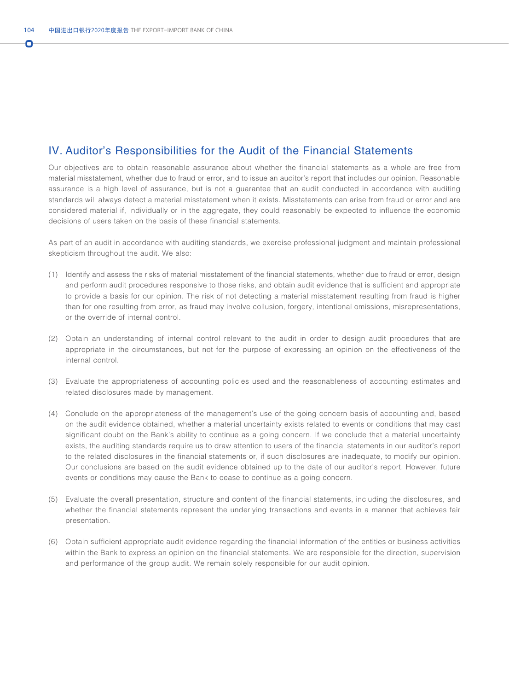n

## IV. Auditor's Responsibilities for the Audit of the Financial Statements

Our objectives are to obtain reasonable assurance about whether the financial statements as a whole are free from material misstatement, whether due to fraud or error, and to issue an auditor's report that includes our opinion. Reasonable assurance is a high level of assurance, but is not a guarantee that an audit conducted in accordance with auditing standards will always detect a material misstatement when it exists. Misstatements can arise from fraud or error and are considered material if, individually or in the aggregate, they could reasonably be expected to influence the economic decisions of users taken on the basis of these financial statements.

As part of an audit in accordance with auditing standards, we exercise professional judgment and maintain professional skepticism throughout the audit. We also:

- (1) Identify and assess the risks of material misstatement of the financial statements, whether due to fraud or error, design and perform audit procedures responsive to those risks, and obtain audit evidence that is sufficient and appropriate to provide a basis for our opinion. The risk of not detecting a material misstatement resulting from fraud is higher than for one resulting from error, as fraud may involve collusion, forgery, intentional omissions, misrepresentations, or the override of internal control.
- (2) Obtain an understanding of internal control relevant to the audit in order to design audit procedures that are appropriate in the circumstances, but not for the purpose of expressing an opinion on the effectiveness of the internal control.
- (3) Evaluate the appropriateness of accounting policies used and the reasonableness of accounting estimates and related disclosures made by management.
- (4) Conclude on the appropriateness of the management's use of the going concern basis of accounting and, based on the audit evidence obtained, whether a material uncertainty exists related to events or conditions that may cast significant doubt on the Bank's ability to continue as a going concern. If we conclude that a material uncertainty exists, the auditing standards require us to draw attention to users of the financial statements in our auditor's report to the related disclosures in the financial statements or, if such disclosures are inadequate, to modify our opinion. Our conclusions are based on the audit evidence obtained up to the date of our auditor's report. However, future events or conditions may cause the Bank to cease to continue as a going concern.
- (5) Evaluate the overall presentation, structure and content of the financial statements, including the disclosures, and whether the financial statements represent the underlying transactions and events in a manner that achieves fair presentation.
- (6) Obtain sufficient appropriate audit evidence regarding the financial information of the entities or business activities within the Bank to express an opinion on the financial statements. We are responsible for the direction, supervision and performance of the group audit. We remain solely responsible for our audit opinion.